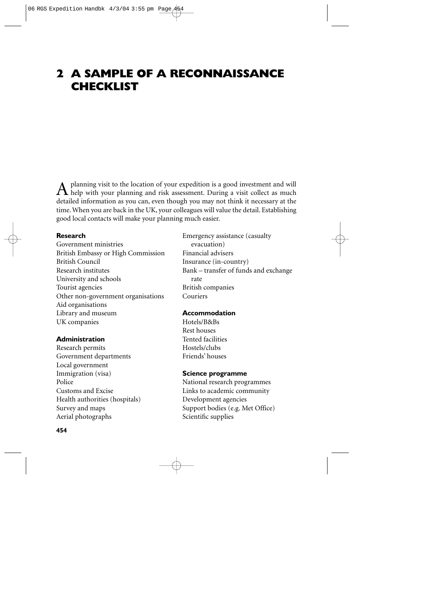# **2 A SAMPLE OF A RECONNAISSANCE CHECKLIST**

A planning visit to the location of your expedition is a good investment and will help with your planning and risk assessment. During a visit collect as much detailed information as you can, even though you may not think it necessary at the time. When you are back in the UK, your colleagues will value the detail. Establishing good local contacts will make your planning much easier.

# **Research**

Government ministries British Embassy or High Commission British Council Research institutes University and schools Tourist agencies Other non-government organisations Aid organisations Library and museum UK companies

#### **Administration**

Research permits Government departments Local government Immigration (visa) Police Customs and Excise Health authorities (hospitals) Survey and maps Aerial photographs

Emergency assistance (casualty evacuation) Financial advisers Insurance (in-country) Bank – transfer of funds and exchange rate British companies Couriers

# **Accommodation**

Hotels/B&Bs Rest houses Tented facilities Hostels/clubs Friends' houses

#### **Science programme**

National research programmes Links to academic community Development agencies Support bodies (e.g. Met Office) Scientific supplies

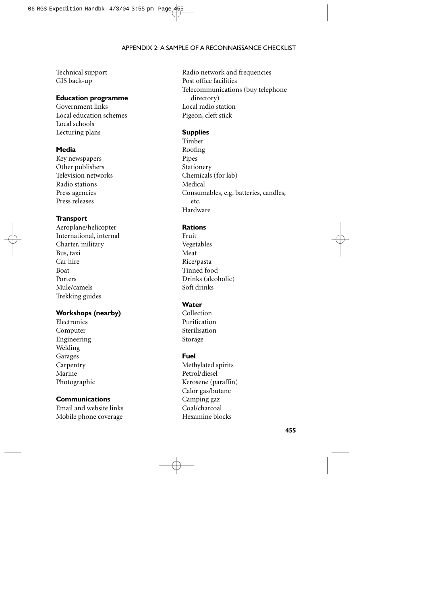#### APPENDIX 2: A SAMPLE OF A RECONNAISSANCE CHECKLIST

Technical support GIS back-up

# **Education programme**

Government links Local education schemes Local schools Lecturing plans

# **Media**

Key newspapers Other publishers Television networks Radio stations Press agencies Press releases

#### **Transport**

Aeroplane/helicopter International, internal Charter, military Bus, taxi Car hire Boat Porters Mule/camels Trekking guides

#### **Workshops (nearby)**

Electronics Computer Engineering Welding Garages Carpentry Marine Photographic

## **Communications**

Email and website links Mobile phone coverage

Radio network and frequencies Post office facilities Telecommunications (buy telephone directory) Local radio station Pigeon, cleft stick

## **Supplies**

Timber Roofing Pipes Stationery Chemicals (for lab) Medical Consumables, e.g. batteries, candles, etc. Hardware

# **Rations**

Fruit Vegetables Meat Rice/pasta Tinned food Drinks (alcoholic) Soft drinks

## **Water**

Collection Purification Sterilisation Storage

#### **Fuel**

Methylated spirits Petrol/diesel Kerosene (paraffin) Calor gas/butane Camping gaz Coal/charcoal Hexamine blocks

**455**